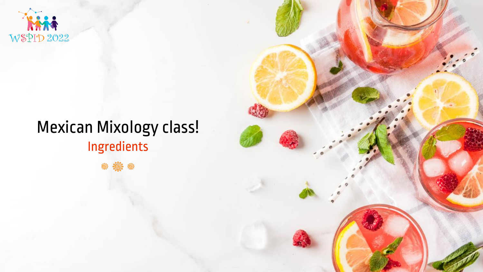

# Mexican Mixology class! Ingredients

\* 意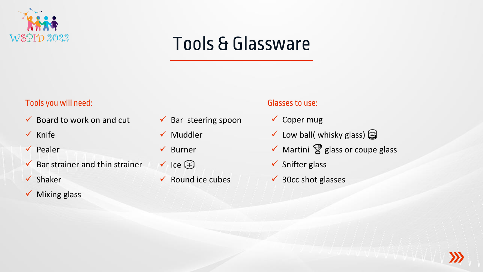

# Tools & Glassware

#### Tools you will need: Glasses to use:

- $\checkmark$  Board to work on and cut
- ✓ Knife
- ✓ Pealer
- $\checkmark$  Bar strainer and thin strainer
- ✓ Shaker
- ✓ Mixing glass
- $\checkmark$  Bar steering spoon
- ✓ Muddler
- ✓ Burner
- $\checkmark$  Ice  $\circledcirc$
- $\checkmark$  Round ice cubes

- ✓ Coper mug
- $\checkmark$  Low ball( whisky glass)
- $\checkmark$  Martini  $\mathcal G$  glass or coupe glass
- $\checkmark$  Snifter glass
- $\checkmark$  30cc shot glasses

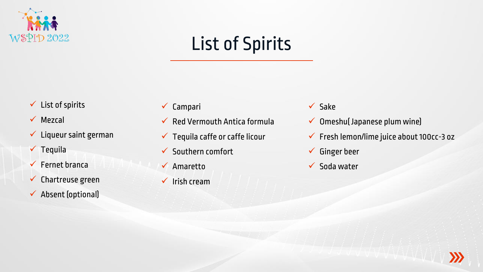

# List of Spirits

- $\checkmark$  List of spirits
- ✓ Mezcal
- $\checkmark$  Liqueur saint german
- ✓ Tequila
- $\checkmark$  Fernet branca
- ✓ Chartreuse green
- ✓ Absent (optional)
- ✓ Campari
- $\checkmark$  Red Vermouth Antica formula
- $\checkmark$  Tequila caffe or caffe licour
- $\checkmark$  Southern comfort
- ✓ Amaretto
- $\checkmark$  Irish cream
- ✓ Sake
- $\checkmark$  Omeshu(Japanese plum wine)
- ✓ Fresh lemon/lime juice about 100cc-3 oz
- ✓ Ginger beer
- $\checkmark$  Soda water

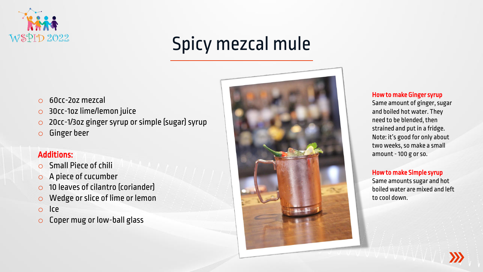

# Spicy mezcal mule

- o 60cc-2oz mezcal
- o 30cc-1oz lime/lemon juice
- o 20cc-1/3oz ginger syrup or simple (sugar) syrup
- o Ginger beer

#### Additions:

- o Small Piece of chili
- o A piece of cucumber
- o 10 leaves of cilantro (coriander)
- o Wedge or slice of lime or lemon
- o Ice
- o Coper mug or low-ball glass



#### How to make Ginger syrup

Same amount of ginger, sugar and boiled hot water. They need to be blended, then strained and put in a fridge. Note: it's good for only about two weeks, so make a small amount -100 g or so.

#### How to make Simple syrup

Same amounts sugar and hot boiled water are mixed and left to cool down.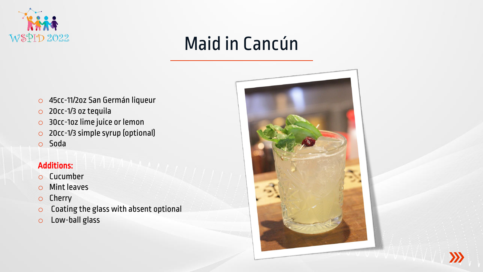

# Maid in Cancún

- o 45cc-11/2oz San Germán liqueur
- o 20cc-1/3 oz tequila
- o 30cc-1oz lime juice or lemon
- o 20cc-1/3 simple syrup (optional)
- o Soda

- o Cucumber
- o Mint leaves
- o Cherry
- o Coating the glass with absent optional
- o Low-ball glass



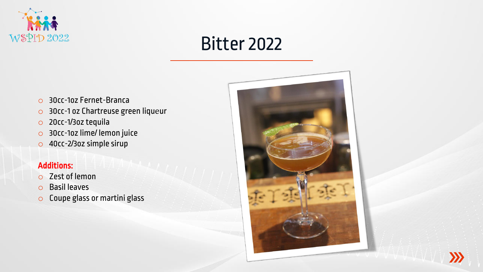

### Bitter 2022

- o 30cc-1oz Fernet-Branca
- o 30cc-1 oz Chartreuse green liquеur
- o 20cc-1/3oz tequila
- o 30cc-1oz lime/ lemon juice
- o 40cc-2/3oz simple sirup

- o Zest of lemon
- o Basil leaves
- o Coupe glass or martini glass



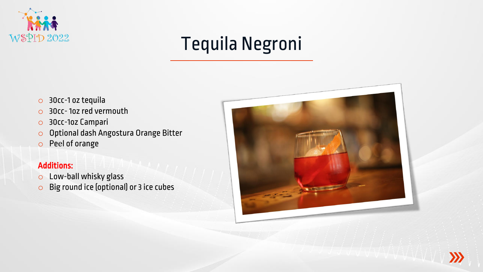

# Tequila Negroni

- o 30cc-1 oz tequila
- o 30cc- 1oz red vermouth
- o 30cc-1oz Campari
- o Optional dash Angostura Orange Bitter
- o Peеl of orange

- o Low-ball whisky glass
- o Big round ice (optional) or 3 ice cubes